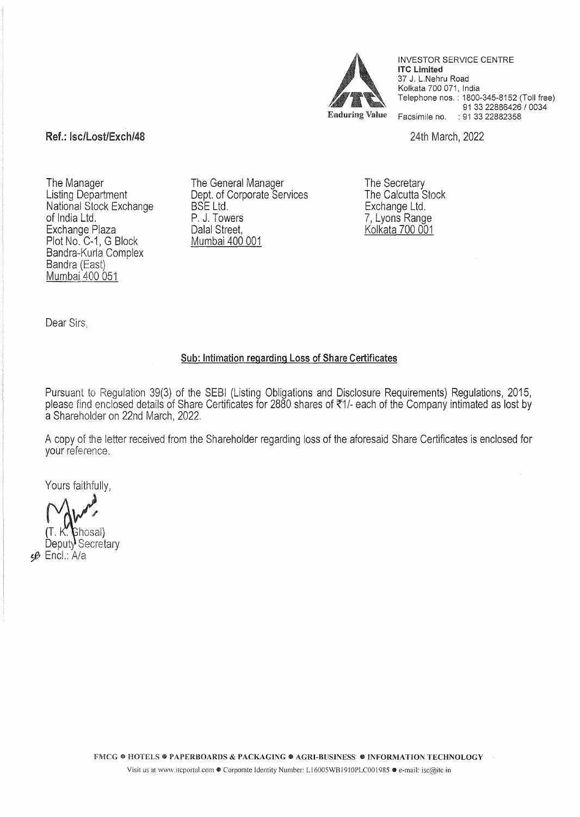

INVESTOR SERVICE CENTRE **lTC** Limited 37 J. L.Nehru Road Kolkata 700 071, India Telephone nos. : 1800-345-8152 (Toll free) 91 33 22886426 I 0034 Enduring Value Facsimile no. : 91 33 22882358

## Ref.: Isc/Lost/Exch/48 2022

The Manager Listing Department National Stock Exchange of India Ltd. Exchange Plaza Plot No. C-1, G Block Bandra-Kurla Complex Bandra (East) Mumbai 400 051

The General Manager Dept. of Corporate Services BSE Ltd. P. J. Towers Dalal Street, Mumbai 400 001

The Secretary The Calcutta Stock Exchange Ltd. 7, Lyons Range Kolkata 700 001

Dear Sirs,

## Sub: Intimation regarding Loss of Share Certificates

Pursuant to Regulation 39(3) of the SEBI (Listing Obligations and Disclosure Requirements) Regulations, 2015, please find enclosed details of Share Certificates for 2880 shares of ~1/- each of the Company intimated as lost by a Shareholder on 22nd March, 2022.

A copy of the letter received from the Shareholder regarding loss of the aforesaid Share Certificates is enclosed for your reference.

Yours faithfully,

(Ghosal Deputy Secretary <6 Encl.: A/a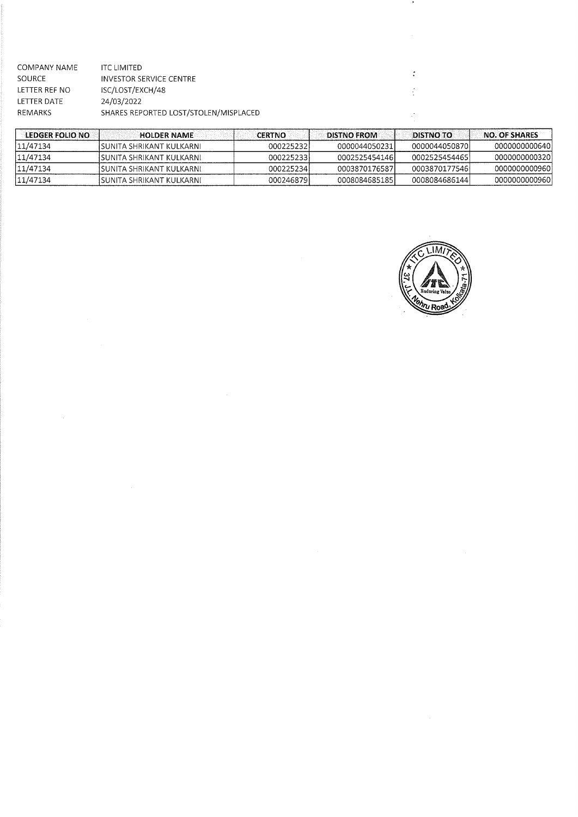| COMPANY NAME  | <b>ITC LIMITED</b>                    |
|---------------|---------------------------------------|
| SOURCE        | INVESTOR SERVICE CENTRE               |
| LETTER REF NO | ISC/LOST/EXCH/48                      |
| LETTER DATE   | 24/03/2022                            |
| REMARKS       | SHARES REPORTED LOST/STOLEN/MISPLACED |
|               |                                       |

| <b>LEDGER FOLIO NO</b> | <b>HOLDER NAME</b>          | <b>CERTNO</b> | <b>DISTNO FROM</b> | <b>DISTNO TO</b> | <b>NO. OF SHARES</b> |
|------------------------|-----------------------------|---------------|--------------------|------------------|----------------------|
| 11/47134               | ISUNITA SHRIKANT KULKARNI.  | 0002252321    | 00000440502311     | 00000440508701   | 0000000000640        |
| 11/47134               | ISUNITA SHRIKANT KULKARNI.  | 0002252331    | 0002525454146      | 0002525454465    | 00000000003201       |
| 11/47134               | ISUNITA SHRIKANT KUI KARNI. | 0002252341    | 0003870176587      | 00038701775461   | 0000000000960        |
| 11/47134               | ISUNITA SHRIKANT KULKARNI   | 0002468791    | 0008084685185      | 0008084686144)   | 00000000009601       |



 $\bullet$ 

 $\ddot{\cdot}$  $\frac{1}{2}$ 

 $\mathbb{R}^2$